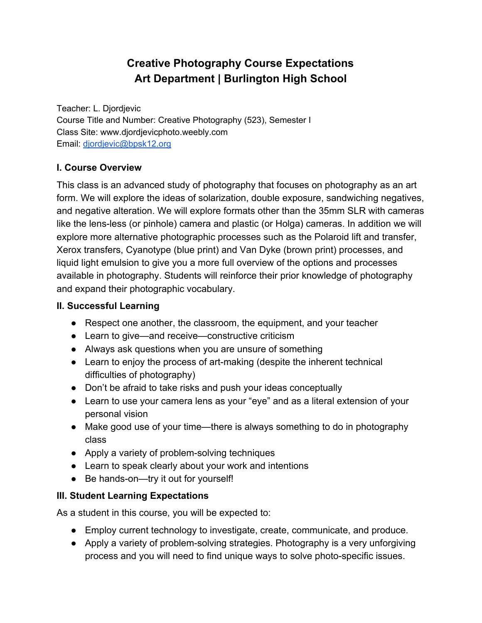# **Creative Photography Course Expectations Art Department | Burlington High School**

Teacher: L. Djordjevic Course Title and Number: Creative Photography (523), Semester I Class Site: www.djordjevicphoto.weebly.com Email: [djordjevic@bpsk12.org](mailto:djordjevic@bpsk12.org)

# **I. Course Overview**

This class is an advanced study of photography that focuses on photography as an art form. We will explore the ideas of solarization, double exposure, sandwiching negatives, and negative alteration. We will explore formats other than the 35mm SLR with cameras like the lens-less (or pinhole) camera and plastic (or Holga) cameras. In addition we will explore more alternative photographic processes such as the Polaroid lift and transfer, Xerox transfers, Cyanotype (blue print) and Van Dyke (brown print) processes, and liquid light emulsion to give you a more full overview of the options and processes available in photography. Students will reinforce their prior knowledge of photography and expand their photographic vocabulary.

#### **II. Successful Learning**

- Respect one another, the classroom, the equipment, and your teacher
- Learn to give—and receive—constructive criticism
- Always ask questions when you are unsure of something
- Learn to enjoy the process of art-making (despite the inherent technical difficulties of photography)
- Don't be afraid to take risks and push your ideas conceptually
- Learn to use your camera lens as your "eye" and as a literal extension of your personal vision
- Make good use of your time—there is always something to do in photography class
- Apply a variety of problem-solving techniques
- Learn to speak clearly about your work and intentions
- Be hands-on—try it out for yourself!

## **III. Student Learning Expectations**

As a student in this course, you will be expected to:

- Employ current technology to investigate, create, communicate, and produce.
- Apply a variety of problem-solving strategies. Photography is a very unforgiving process and you will need to find unique ways to solve photo-specific issues.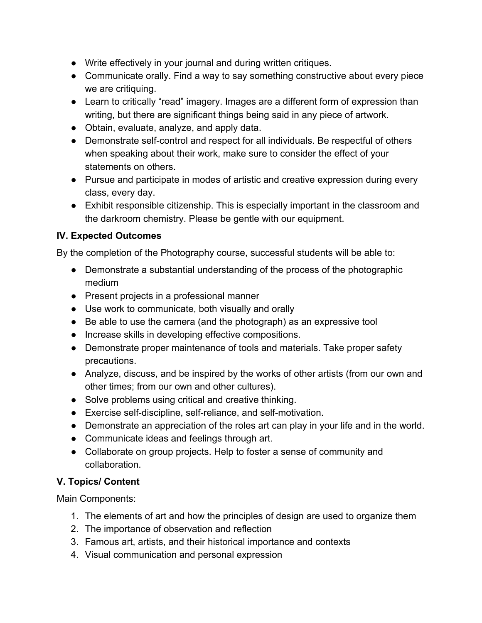- Write effectively in your journal and during written critiques.
- Communicate orally. Find a way to say something constructive about every piece we are critiquing.
- Learn to critically "read" imagery. Images are a different form of expression than writing, but there are significant things being said in any piece of artwork.
- Obtain, evaluate, analyze, and apply data.
- Demonstrate self-control and respect for all individuals. Be respectful of others when speaking about their work, make sure to consider the effect of your statements on others.
- Pursue and participate in modes of artistic and creative expression during every class, every day.
- Exhibit responsible citizenship. This is especially important in the classroom and the darkroom chemistry. Please be gentle with our equipment.

# **IV. Expected Outcomes**

By the completion of the Photography course, successful students will be able to:

- Demonstrate a substantial understanding of the process of the photographic medium
- Present projects in a professional manner
- Use work to communicate, both visually and orally
- Be able to use the camera (and the photograph) as an expressive tool
- Increase skills in developing effective compositions.
- Demonstrate proper maintenance of tools and materials. Take proper safety precautions.
- Analyze, discuss, and be inspired by the works of other artists (from our own and other times; from our own and other cultures).
- Solve problems using critical and creative thinking.
- Exercise self-discipline, self-reliance, and self-motivation.
- Demonstrate an appreciation of the roles art can play in your life and in the world.
- Communicate ideas and feelings through art.
- Collaborate on group projects. Help to foster a sense of community and collaboration.

## **V. Topics/ Content**

Main Components:

- 1. The elements of art and how the principles of design are used to organize them
- 2. The importance of observation and reflection
- 3. Famous art, artists, and their historical importance and contexts
- 4. Visual communication and personal expression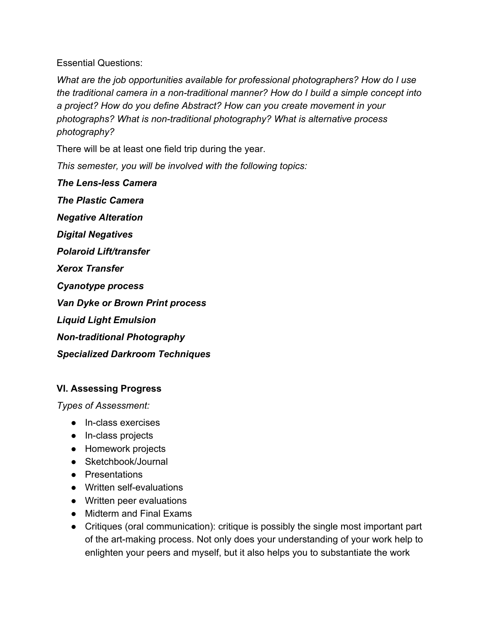Essential Questions:

*What are the job opportunities available for professional photographers? How do I use the traditional camera in a nontraditional manner? How do I build a simple concept into a project? How do you define Abstract? How can you create movement in your photographs? What is nontraditional photography? What is alternative process photography?*

There will be at least one field trip during the year.

*This semester, you will be involved with the following topics:*

*The Lensless Camera The Plastic Camera Negative Alteration Digital Negatives Polaroid Lift/transfer Xerox Transfer Cyanotype process Van Dyke or Brown Print process Liquid Light Emulsion* **Non-traditional Photography** *Specialized Darkroom Techniques*

## **VI. Assessing Progress**

*Types of Assessment:*

- In-class exercises
- In-class projects
- Homework projects
- Sketchbook/Journal
- Presentations
- Written self-evaluations
- Written peer evaluations
- Midterm and Final Exams
- Critiques (oral communication): critique is possibly the single most important part of the art-making process. Not only does your understanding of your work help to enlighten your peers and myself, but it also helps you to substantiate the work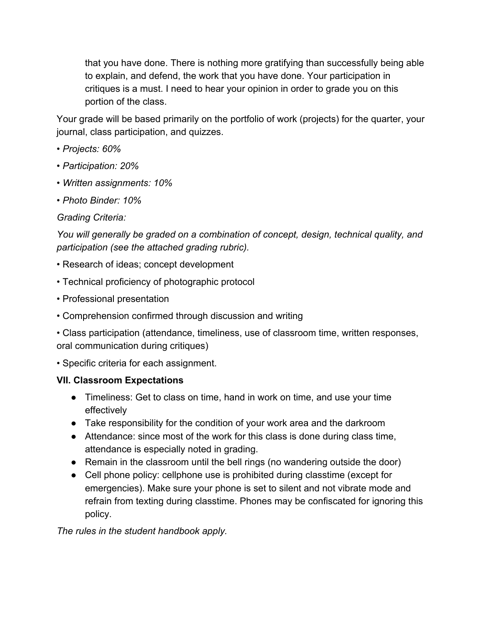that you have done. There is nothing more gratifying than successfully being able to explain, and defend, the work that you have done. Your participation in critiques is a must. I need to hear your opinion in order to grade you on this portion of the class.

Your grade will be based primarily on the portfolio of work (projects) for the quarter, your journal, class participation, and quizzes.

- *• Projects: 60%*
- *• Participation: 20%*
- *• Written assignments: 10%*
- *• Photo Binder: 10%*

#### *Grading Criteria:*

*You will generally be graded on a combination of concept, design, technical quality, and participation (see the attached grading rubric).*

- Research of ideas; concept development
- Technical proficiency of photographic protocol
- Professional presentation
- Comprehension confirmed through discussion and writing

• Class participation (attendance, timeliness, use of classroom time, written responses, oral communication during critiques)

• Specific criteria for each assignment.

## **VII. Classroom Expectations**

- Timeliness: Get to class on time, hand in work on time, and use your time effectively
- Take responsibility for the condition of your work area and the darkroom
- Attendance: since most of the work for this class is done during class time, attendance is especially noted in grading.
- Remain in the classroom until the bell rings (no wandering outside the door)
- Cell phone policy: cellphone use is prohibited during classtime (except for emergencies). Make sure your phone is set to silent and not vibrate mode and refrain from texting during classtime. Phones may be confiscated for ignoring this policy.

*The rules in the student handbook apply.*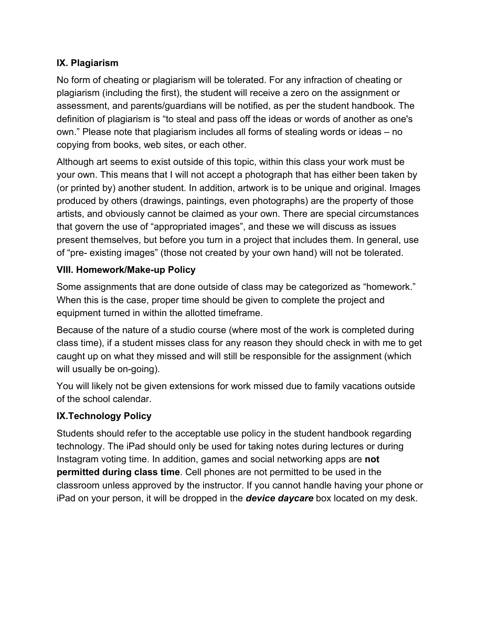## **IX. Plagiarism**

No form of cheating or plagiarism will be tolerated. For any infraction of cheating or plagiarism (including the first), the student will receive a zero on the assignment or assessment, and parents/guardians will be notified, as per the student handbook. The definition of plagiarism is "to steal and pass off the ideas or words of another as one's own." Please note that plagiarism includes all forms of stealing words or ideas – no copying from books, web sites, or each other.

Although art seems to exist outside of this topic, within this class your work must be your own. This means that I will not accept a photograph that has either been taken by (or printed by) another student. In addition, artwork is to be unique and original. Images produced by others (drawings, paintings, even photographs) are the property of those artists, and obviously cannot be claimed as your own. There are special circumstances that govern the use of "appropriated images", and these we will discuss as issues present themselves, but before you turn in a project that includes them. In general, use of "pre- existing images" (those not created by your own hand) will not be tolerated.

#### **VIII. Homework/Make-up Policy**

Some assignments that are done outside of class may be categorized as "homework." When this is the case, proper time should be given to complete the project and equipment turned in within the allotted timeframe.

Because of the nature of a studio course (where most of the work is completed during class time), if a student misses class for any reason they should check in with me to get caught up on what they missed and will still be responsible for the assignment (which will usually be on-going).

You will likely not be given extensions for work missed due to family vacations outside of the school calendar.

## **IX.Technology Policy**

Students should refer to the acceptable use policy in the student handbook regarding technology. The iPad should only be used for taking notes during lectures or during Instagram voting time. In addition, games and social networking apps are **not permitted during class time**. Cell phones are not permitted to be used in the classroom unless approved by the instructor. If you cannot handle having your phone or iPad on your person, it will be dropped in the *device daycare*box located on my desk.